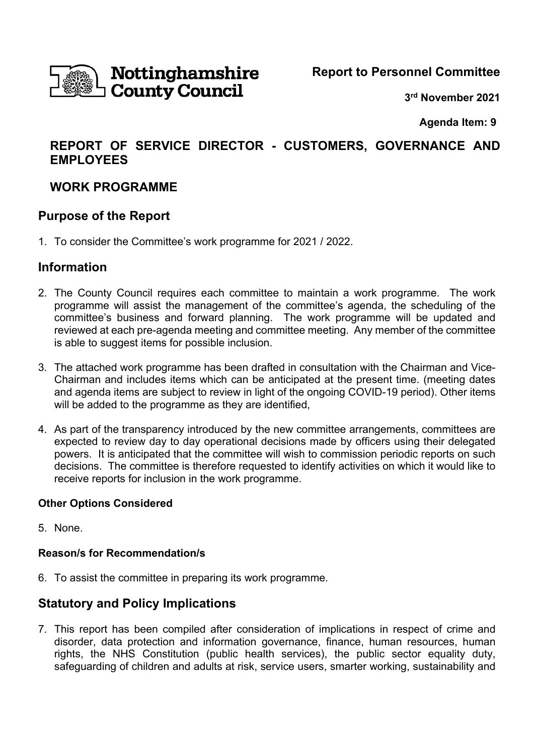

**Report to Personnel Committee** 

**3rd November 2021** 

 **Agenda Item: 9** 

# **REPORT OF SERVICE DIRECTOR - CUSTOMERS, GOVERNANCE AND EMPLOYEES**

# **WORK PROGRAMME**

### **Purpose of the Report**

1. To consider the Committee's work programme for 2021 / 2022.

## **Information**

- 2. The County Council requires each committee to maintain a work programme. The work programme will assist the management of the committee's agenda, the scheduling of the committee's business and forward planning. The work programme will be updated and reviewed at each pre-agenda meeting and committee meeting. Any member of the committee is able to suggest items for possible inclusion.
- 3. The attached work programme has been drafted in consultation with the Chairman and Vice-Chairman and includes items which can be anticipated at the present time. (meeting dates and agenda items are subject to review in light of the ongoing COVID-19 period). Other items will be added to the programme as they are identified,
- 4. As part of the transparency introduced by the new committee arrangements, committees are expected to review day to day operational decisions made by officers using their delegated powers. It is anticipated that the committee will wish to commission periodic reports on such decisions. The committee is therefore requested to identify activities on which it would like to receive reports for inclusion in the work programme.

### **Other Options Considered**

5. None.

### **Reason/s for Recommendation/s**

6. To assist the committee in preparing its work programme.

## **Statutory and Policy Implications**

7. This report has been compiled after consideration of implications in respect of crime and disorder, data protection and information governance, finance, human resources, human rights, the NHS Constitution (public health services), the public sector equality duty, safeguarding of children and adults at risk, service users, smarter working, sustainability and